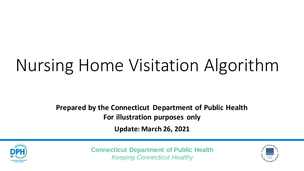## Nursing Home Visitation Algorithm

**Prepared by the Connecticut Department of Public Health For illustration purposes only**

**Update: March 26, 2021**



**Connecticut Department of Public Health** *Keeping Connecticut Healthy*

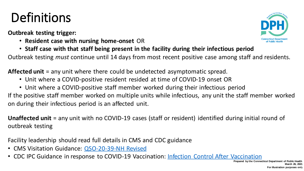## **Definitions**

**Outbreak testing trigger:**

- **Resident case with nursing home-onset** OR
- **Staff case with that staff being present in the facility during their infectious period**

Outbreak testing *must* continue until 14 days from most recent positive case among staff and residents.

**Affected unit** = any unit where there could be undetected asymptomatic spread.

- Unit where a COVID-positive resident resided at time of COVID-19 onset OR
- Unit where a COVID-positive staff member worked during their infectious period

If the positive staff member worked on multiple units while infectious, any unit the staff member worked on during their infectious period is an affected unit.

**Unaffected unit** = any unit with no COVID-19 cases (staff or resident) identified during initial round of outbreak testing

Facility leadership should read full details in CMS and CDC guidance

- CMS Visitation Guidance: [QSO-20-39-NH Revised](https://www.cms.gov/files/document/qso-20-39-nh-revised.pdf)
- CDC IPC Guidance in response to COVID-19 Vaccination: [Infection Control After Vaccination](https://www.cdc.gov/coronavirus/2019-ncov/hcp/infection-control-after-vaccination.html)

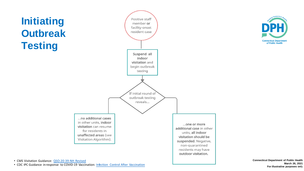





• CMS Visitation Guidance: [QSO-20-39-NH Revised](https://www.cms.gov/files/document/qso-20-39-nh-revised.pdf)

• CDC IPC Guidance in response to COVID-19 Vaccination: [Infection Control After Vaccination](https://www.cdc.gov/coronavirus/2019-ncov/hcp/infection-control-after-vaccination.html) 

**Connecticut Department of Public Health March 26, 2021 For illustrative purposes onl**y